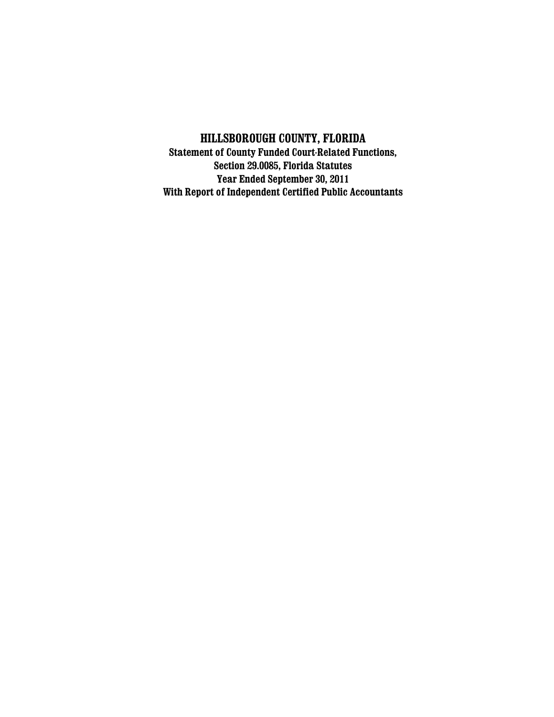# **HILLSBOROUGH COUNTY, FLORIDA**

**Statement of County Funded Court-Related Functions, Section 29.0085, Florida Statutes Year Ended September 30, 2011 With Report of Independent Certified Public Accountants**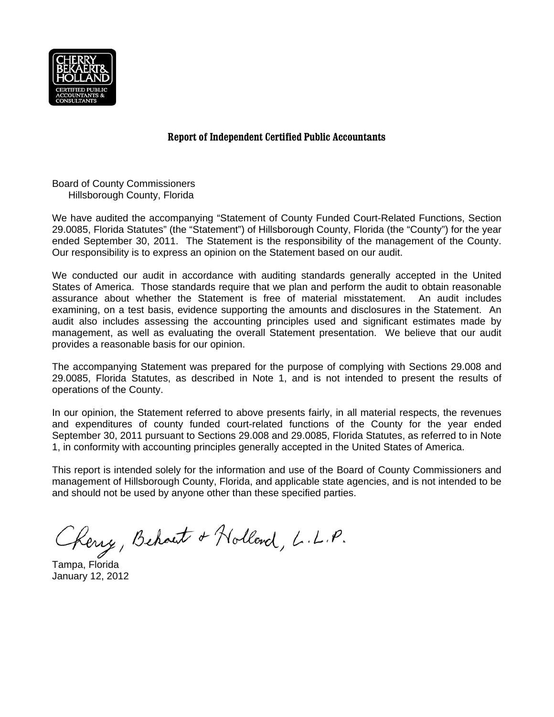

## **Report of Independent Certified Public Accountants**

Board of County Commissioners Hillsborough County, Florida

We have audited the accompanying "Statement of County Funded Court-Related Functions, Section 29.0085, Florida Statutes" (the "Statement") of Hillsborough County, Florida (the "County") for the year ended September 30, 2011. The Statement is the responsibility of the management of the County. Our responsibility is to express an opinion on the Statement based on our audit.

We conducted our audit in accordance with auditing standards generally accepted in the United States of America. Those standards require that we plan and perform the audit to obtain reasonable assurance about whether the Statement is free of material misstatement. An audit includes examining, on a test basis, evidence supporting the amounts and disclosures in the Statement. An audit also includes assessing the accounting principles used and significant estimates made by management, as well as evaluating the overall Statement presentation. We believe that our audit provides a reasonable basis for our opinion.

The accompanying Statement was prepared for the purpose of complying with Sections 29.008 and 29.0085, Florida Statutes, as described in Note 1, and is not intended to present the results of operations of the County.

In our opinion, the Statement referred to above presents fairly, in all material respects, the revenues and expenditures of county funded court-related functions of the County for the year ended September 30, 2011 pursuant to Sections 29.008 and 29.0085, Florida Statutes, as referred to in Note 1, in conformity with accounting principles generally accepted in the United States of America.

This report is intended solely for the information and use of the Board of County Commissioners and management of Hillsborough County, Florida, and applicable state agencies, and is not intended to be and should not be used by anyone other than these specified parties.

Kerry, Behaut & Holland, L.L.P.

Tampa, Florida January 12, 2012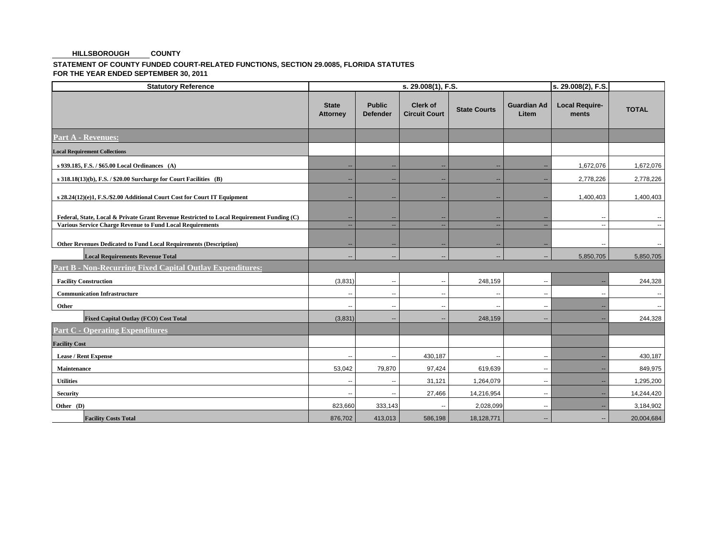#### **COUNTY HILLSBOROUGH**

### **STATEMENT OF COUNTY FUNDED COURT-RELATED FUNCTIONS, SECTION 29.0085, FLORIDA STATUTES FOR THE YEAR ENDED SEPTEMBER 30, 2011**

| <b>Statutory Reference</b>                                                                                                                                    |                                 |                                  | s. 29.008(2), F.S.                      |                                |                             |                                |                          |
|---------------------------------------------------------------------------------------------------------------------------------------------------------------|---------------------------------|----------------------------------|-----------------------------------------|--------------------------------|-----------------------------|--------------------------------|--------------------------|
|                                                                                                                                                               | <b>State</b><br><b>Attorney</b> | <b>Public</b><br><b>Defender</b> | <b>Clerk of</b><br><b>Circuit Court</b> | <b>State Courts</b>            | <b>Guardian Ad</b><br>Litem | <b>Local Require-</b><br>ments | <b>TOTAL</b>             |
| <b>Part A - Revenues:</b>                                                                                                                                     |                                 |                                  |                                         |                                |                             |                                |                          |
| <b>Local Requirement Collections</b>                                                                                                                          |                                 |                                  |                                         |                                |                             |                                |                          |
| s 939.185, F.S. / \$65.00 Local Ordinances (A)                                                                                                                | $\sim$                          | н.                               | $\overline{\phantom{a}}$                | $\overline{\phantom{a}}$       | --                          | 1,672,076                      | 1,672,076                |
| s 318.18(13)(b), F.S. / \$20.00 Surcharge for Court Facilities (B)                                                                                            | $\sim$                          | н.                               | $\overline{\phantom{a}}$                | $\sim$                         | --                          | 2,778,226                      | 2,778,226                |
| s 28.24(12)(e)1, F.S./\$2.00 Additional Court Cost for Court IT Equipment                                                                                     | $\sim$                          | $\overline{\phantom{a}}$         | $\overline{\phantom{a}}$                | $\overline{\phantom{a}}$       | --                          | 1,400,403                      | 1,400,403                |
| Federal, State, Local & Private Grant Revenue Restricted to Local Requirement Funding (C)<br><b>Various Service Charge Revenue to Fund Local Requirements</b> | $\sim$<br>$\sim$                | ж.                               | $\sim$                                  | --<br>$\overline{\phantom{a}}$ | $\overline{\phantom{a}}$    | --<br>$\overline{\phantom{a}}$ | $\sim$                   |
| Other Revenues Dedicated to Fund Local Requirements (Description)                                                                                             | $\overline{\phantom{a}}$        | н.                               | --                                      | $\overline{\phantom{a}}$       | н.                          | --                             | ۰.                       |
| <b>Local Requirements Revenue Total</b>                                                                                                                       | $\overline{\phantom{a}}$        | $\overline{\phantom{a}}$         | $\overline{\phantom{a}}$                | $\overline{\phantom{a}}$       | $\overline{\phantom{a}}$    | 5,850,705                      | 5,850,705                |
| <b>Part B - Non-Recurring Fixed Capital Outlay Expenditures:</b>                                                                                              |                                 |                                  |                                         |                                |                             |                                |                          |
| <b>Facility Construction</b>                                                                                                                                  | (3,831)                         | $\overline{\phantom{a}}$         | $\overline{\phantom{a}}$                | 248,159                        | $\overline{\phantom{a}}$    |                                | 244,328                  |
| <b>Communication Infrastructure</b>                                                                                                                           | $\sim$                          | $\sim$                           | $\overline{\phantom{a}}$                | $\overline{\phantom{a}}$       | $\overline{\phantom{a}}$    | $\overline{\phantom{a}}$       | $\sim$                   |
| Other                                                                                                                                                         | $\mathbf{u}$                    | $\overline{\phantom{a}}$         | $\sim$                                  | $\overline{\phantom{a}}$       | $\overline{\phantom{a}}$    |                                | $\overline{\phantom{a}}$ |
| <b>Fixed Capital Outlay (FCO) Cost Total</b>                                                                                                                  | (3,831)                         | ж.                               | --                                      | 248,159                        | $\overline{\phantom{a}}$    |                                | 244,328                  |
| <b>Part C - Operating Expenditures</b>                                                                                                                        |                                 |                                  |                                         |                                |                             |                                |                          |
| <b>Facility Cost</b>                                                                                                                                          |                                 |                                  |                                         |                                |                             |                                |                          |
| <b>Lease / Rent Expense</b>                                                                                                                                   | $\sim$                          | $\overline{\phantom{a}}$         | 430,187                                 | $\overline{a}$                 | $\overline{\phantom{a}}$    |                                | 430,187                  |
| Maintenance                                                                                                                                                   | 53,042                          | 79,870                           | 97,424                                  | 619,639                        | $\overline{\phantom{a}}$    |                                | 849,975                  |
| <b>Utilities</b>                                                                                                                                              | $\sim$                          | $\overline{\phantom{a}}$         | 31,121                                  | 1,264,079                      | $\overline{\phantom{a}}$    |                                | 1,295,200                |
| <b>Security</b>                                                                                                                                               | $\overline{\phantom{a}}$        | $\overline{\phantom{a}}$         | 27,466                                  | 14,216,954                     | $\overline{\phantom{a}}$    |                                | 14,244,420               |
| Other (D)                                                                                                                                                     | 823,660                         | 333,143                          |                                         | 2,028,099                      | $\overline{\phantom{a}}$    |                                | 3,184,902                |
| <b>Facility Costs Total</b>                                                                                                                                   | 876,702                         | 413,013                          | 586,198                                 | 18,128,771                     | $\overline{a}$              | $\sim$                         | 20,004,684               |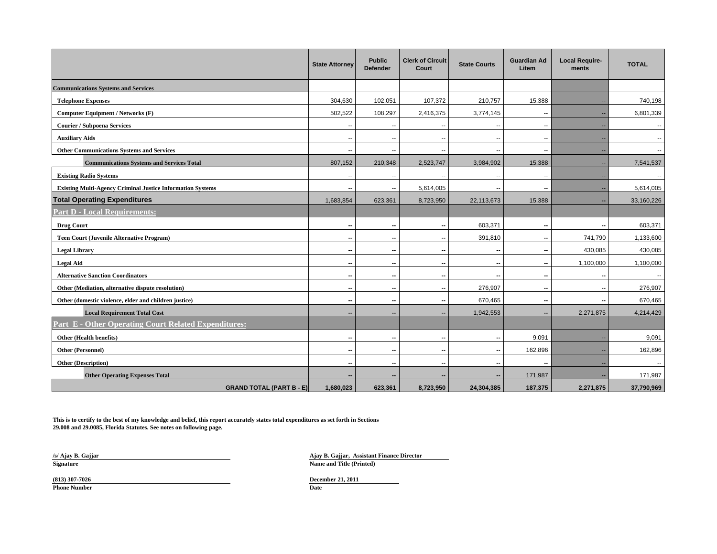|                                                                   | <b>State Attorney</b>    | <b>Public</b><br><b>Defender</b> | <b>Clerk of Circuit</b><br>Court | <b>State Courts</b>      | <b>Guardian Ad</b><br>Litem | <b>Local Require-</b><br>ments | <b>TOTAL</b>             |
|-------------------------------------------------------------------|--------------------------|----------------------------------|----------------------------------|--------------------------|-----------------------------|--------------------------------|--------------------------|
| <b>Communications Systems and Services</b>                        |                          |                                  |                                  |                          |                             |                                |                          |
| <b>Telephone Expenses</b>                                         | 304,630                  | 102,051                          | 107,372                          | 210,757                  | 15,388                      |                                | 740,198                  |
| Computer Equipment / Networks (F)                                 | 502,522                  | 108,297                          | 2,416,375                        | 3,774,145                | $\sim$                      |                                | 6,801,339                |
| <b>Courier / Subpoena Services</b>                                | н,                       |                                  | --                               | --                       | --                          |                                | $\sim$                   |
| <b>Auxiliary Aids</b>                                             | $\sim$                   | $\overline{\phantom{a}}$         | $\sim$                           | $\overline{\phantom{a}}$ | $\overline{\phantom{a}}$    | --                             | $\sim$                   |
| <b>Other Communications Systems and Services</b>                  | ٠.                       |                                  |                                  | ц,                       | $\overline{\phantom{a}}$    |                                | $\sim$                   |
| <b>Communications Systems and Services Total</b>                  | 807,152                  | 210,348                          | 2,523,747                        | 3,984,902                | 15,388                      |                                | 7,541,537                |
| <b>Existing Radio Systems</b>                                     | ٠.                       |                                  |                                  | ц,                       | --                          |                                |                          |
| <b>Existing Multi-Agency Criminal Justice Information Systems</b> | $\overline{\phantom{a}}$ | $\overline{a}$                   | 5,614,005                        | ц,                       | $\overline{\phantom{a}}$    |                                | 5,614,005                |
| <b>Total Operating Expenditures</b>                               | 1,683,854                | 623,361                          | 8,723,950                        | 22,113,673               | 15,388                      |                                | 33,160,226               |
| <b>Part D - Local Requirements:</b>                               |                          |                                  |                                  |                          |                             |                                |                          |
| <b>Drug Court</b>                                                 | $\overline{\phantom{a}}$ | --                               | $\qquad \qquad \cdots$           | 603,371                  | $\qquad \qquad$             | $\qquad \qquad$                | 603,371                  |
| <b>Teen Court (Juvenile Alternative Program)</b>                  | $\overline{\phantom{a}}$ | --                               | $\overline{\phantom{a}}$         | 391,810                  | $\overline{\phantom{a}}$    | 741,790                        | 1,133,600                |
| <b>Legal Library</b>                                              | $\overline{\phantom{a}}$ |                                  | $\overline{\phantom{a}}$         | $\overline{\phantom{a}}$ | $\overline{\phantom{a}}$    | 430,085                        | 430,085                  |
| <b>Legal Aid</b>                                                  | --                       |                                  | $\qquad \qquad$                  | --                       | --                          | 1,100,000                      | 1,100,000                |
| <b>Alternative Sanction Coordinators</b>                          | $\overline{\phantom{a}}$ | $\overline{\phantom{a}}$         | $\overline{\phantom{a}}$         | $\overline{\phantom{a}}$ | $\overline{\phantom{a}}$    | $\overline{\phantom{a}}$       | $\overline{\phantom{a}}$ |
| Other (Mediation, alternative dispute resolution)                 | $\overline{\phantom{a}}$ | --                               | $\overline{\phantom{a}}$         | 276,907                  | $\overline{\phantom{a}}$    | $\overline{\phantom{a}}$       | 276,907                  |
| Other (domestic violence, elder and children justice)             | $\overline{\phantom{a}}$ | $\sim$                           | $\overline{\phantom{a}}$         | 670,465                  | $\overline{\phantom{a}}$    | $\overline{\phantom{a}}$       | 670,465                  |
| <b>Local Requirement Total Cost</b>                               | --                       |                                  |                                  | 1,942,553                | --                          | 2,271,875                      | 4,214,429                |
| <b>Part E - Other Operating Court Related Expenditures:</b>       |                          |                                  |                                  |                          |                             |                                |                          |
| Other (Health benefits)                                           | --                       |                                  | $\overline{\phantom{a}}$         | --                       | 9,091                       |                                | 9,091                    |
| Other (Personnel)                                                 | $\overline{\phantom{a}}$ |                                  | $\overline{\phantom{a}}$         | $\overline{\phantom{a}}$ | 162,896                     |                                | 162,896                  |
| <b>Other (Description)</b>                                        | --                       |                                  | $\qquad \qquad \cdots$           | --                       | --                          |                                | $\overline{\phantom{a}}$ |
| <b>Other Operating Expenses Total</b>                             | --                       |                                  |                                  | ۰.                       | 171,987                     |                                | 171,987                  |
| <b>GRAND TOTAL (PART B - E)</b>                                   | 1.680.023                | 623.361                          | 8.723.950                        | 24.304.385               | 187,375                     | 2.271.875                      | 37,790,969               |

**This is to certify to the best of my knowledge and belief, this report accurately states total expenditures as set forth in Sections 29.008 and 29.0085, Florida Statutes. See notes on following page.**

**/s/ Ajay B. Gajjar**

**Ajay B. Gajjar, Assistant Finance Director Signature Name and Title (Printed)** 

**Phone Number**

**Date Date Date Date Date Date Date (813) 307-7026 December 21, 2011**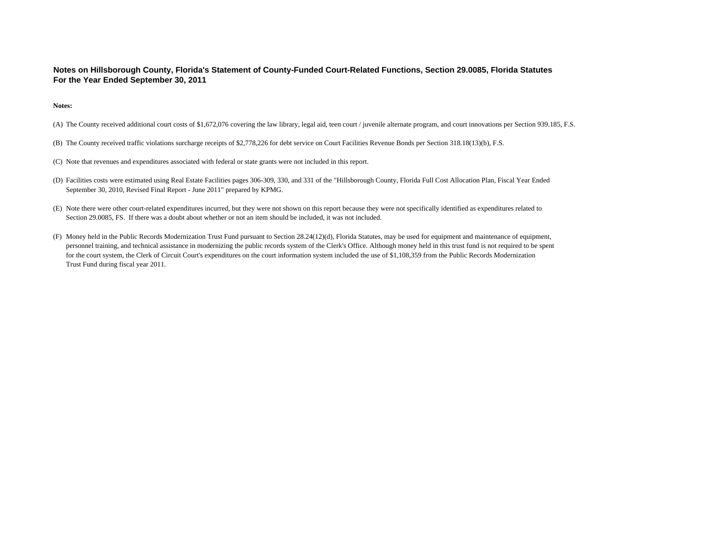#### **Notes on Hillsborough County, Florida's Statement of County-Funded Court-Related Functions, Section 29.0085, Florida Statutes For the Year Ended September 30, 2011**

**Notes:**

- (A) The County received additional court costs of \$1,672,076 covering the law library, legal aid, teen court / juvenile alternate program, and court innovations per Section 939.185, F.S.
- (B) The County received traffic violations surcharge receipts of \$2,778,226 for debt service on Court Facilities Revenue Bonds per Section 318.18(13)(b), F.S.
- (C) Note that revenues and expenditures associated with federal or state grants were not included in this report.
- (D) Facilities costs were estimated using Real Estate Facilities pages 306-309, 330, and 331 of the "Hillsborough County, Florida Full Cost Allocation Plan, Fiscal Year Ended September 30, 2010, Revised Final Report - June 2011" prepared by KPMG.
- (E) Note there were other court-related expenditures incurred, but they were not shown on this report because they were not specifically identified as expenditures related to Section 29.0085, FS. If there was a doubt about whether or not an item should be included, it was not included.
- (F) Money held in the Public Records Modernization Trust Fund pursuant to Section 28.24(12)(d), Florida Statutes, may be used for equipment and maintenance of equipment, personnel training, and technical assistance in modernizing the public records system of the Clerk's Office. Although money held in this trust fund is not required to be spent for the court system, the Clerk of Circuit Court's expenditures on the court information system included the use of \$1,108,359 from the Public Records Modernization Trust Fund during fiscal year 2011.